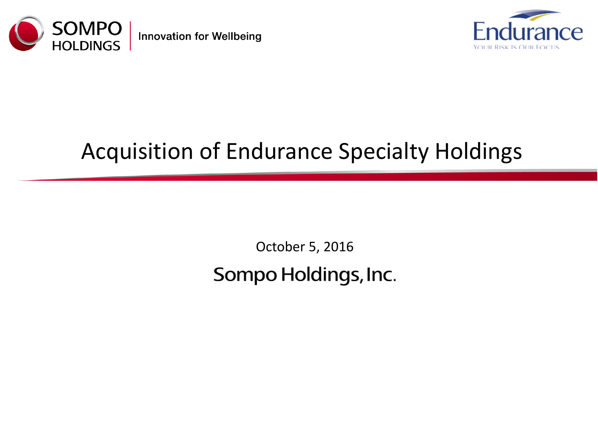

**Innovation for Wellbeing** 



# Acquisition of Endurance Specialty Holdings

October 5, 2016 Sompo Holdings, Inc.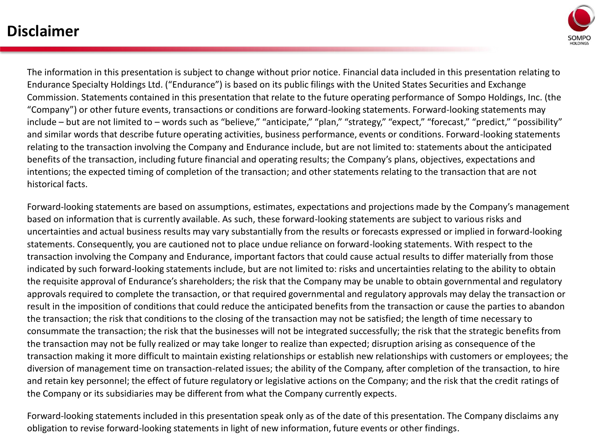### **Disclaimer**



The information in this presentation is subject to change without prior notice. Financial data included in this presentation relating to Endurance Specialty Holdings Ltd. ("Endurance") is based on its public filings with the United States Securities and Exchange Commission. Statements contained in this presentation that relate to the future operating performance of Sompo Holdings, Inc. (the "Company") or other future events, transactions or conditions are forward-looking statements. Forward-looking statements may include – but are not limited to – words such as "believe," "anticipate," "plan," "strategy," "expect," "forecast," "predict," "possibility" and similar words that describe future operating activities, business performance, events or conditions. Forward-looking statements relating to the transaction involving the Company and Endurance include, but are not limited to: statements about the anticipated benefits of the transaction, including future financial and operating results; the Company's plans, objectives, expectations and intentions; the expected timing of completion of the transaction; and other statements relating to the transaction that are not historical facts.

Forward-looking statements are based on assumptions, estimates, expectations and projections made by the Company's management based on information that is currently available. As such, these forward-looking statements are subject to various risks and uncertainties and actual business results may vary substantially from the results or forecasts expressed or implied in forward-looking statements. Consequently, you are cautioned not to place undue reliance on forward-looking statements. With respect to the transaction involving the Company and Endurance, important factors that could cause actual results to differ materially from those indicated by such forward-looking statements include, but are not limited to: risks and uncertainties relating to the ability to obtain the requisite approval of Endurance's shareholders; the risk that the Company may be unable to obtain governmental and regulatory approvals required to complete the transaction, or that required governmental and regulatory approvals may delay the transaction or result in the imposition of conditions that could reduce the anticipated benefits from the transaction or cause the parties to abandon the transaction; the risk that conditions to the closing of the transaction may not be satisfied; the length of time necessary to consummate the transaction; the risk that the businesses will not be integrated successfully; the risk that the strategic benefits from the transaction may not be fully realized or may take longer to realize than expected; disruption arising as consequence of the transaction making it more difficult to maintain existing relationships or establish new relationships with customers or employees; the diversion of management time on transaction-related issues; the ability of the Company, after completion of the transaction, to hire and retain key personnel; the effect of future regulatory or legislative actions on the Company; and the risk that the credit ratings of the Company or its subsidiaries may be different from what the Company currently expects.

Forward-looking statements included in this presentation speak only as of the date of this presentation. The Company disclaims any obligation to revise forward-looking statements in light of new information, future events or other findings.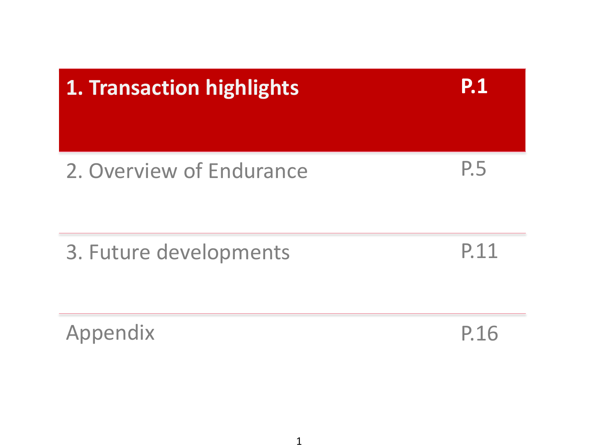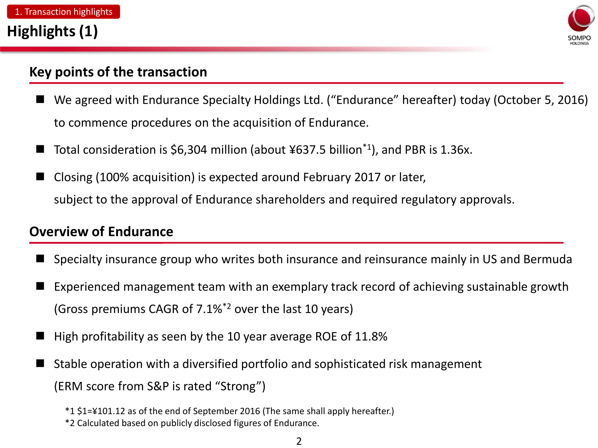

### **Key points of the transaction**

- We agreed with Endurance Specialty Holdings Ltd. ("Endurance" hereafter) today (October 5, 2016) to commence procedures on the acquisition of Endurance.
- Total consideration is \$6,304 million (about ¥637.5 billion\*1), and PBR is 1.36x.
- Closing (100% acquisition) is expected around February 2017 or later, subject to the approval of Endurance shareholders and required regulatory approvals.

### **Overview of Endurance**

- Specialty insurance group who writes both insurance and reinsurance mainly in US and Bermuda
- Experienced management team with an exemplary track record of achieving sustainable growth (Gross premiums CAGR of 7.1%\*2 over the last 10 years)
- High profitability as seen by the 10 year average ROE of 11.8%
- Stable operation with a diversified portfolio and sophisticated risk management (ERM score from S&P is rated "Strong")

<sup>\*1 \$1=¥101.12</sup> as of the end of September 2016 (The same shall apply hereafter.)

<sup>\*2</sup> Calculated based on publicly disclosed figures of Endurance.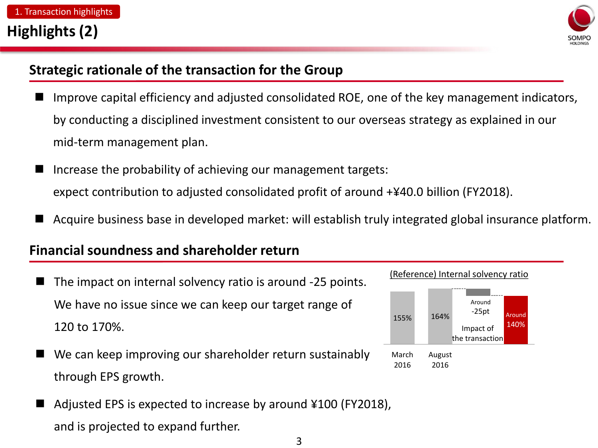

### **Strategic rationale of the transaction for the Group**

- Improve capital efficiency and adjusted consolidated ROE, one of the key management indicators, by conducting a disciplined investment consistent to our overseas strategy as explained in our mid-term management plan.
- Increase the probability of achieving our management targets: expect contribution to adjusted consolidated profit of around +¥40.0 billion (FY2018).
- Acquire business base in developed market: will establish truly integrated global insurance platform.

### **Financial soundness and shareholder return**

- The impact on internal solvency ratio is around -25 points. We have no issue since we can keep our target range of 120 to 170%.
- We can keep improving our shareholder return sustainably through EPS growth.
- Adjusted EPS is expected to increase by around ¥100 (FY2018), and is projected to expand further.

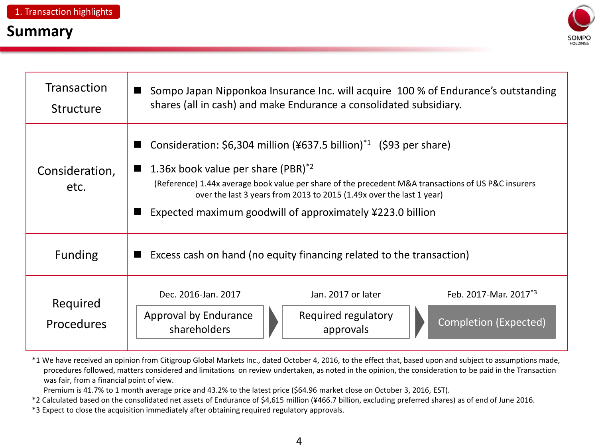### **Summary**



| <b>Transaction</b><br><b>Structure</b> | Sompo Japan Nipponkoa Insurance Inc. will acquire 100 % of Endurance's outstanding<br>shares (all in cash) and make Endurance a consolidated subsidiary.                                                                                                                                                                                                                                           |  |  |  |  |
|----------------------------------------|----------------------------------------------------------------------------------------------------------------------------------------------------------------------------------------------------------------------------------------------------------------------------------------------------------------------------------------------------------------------------------------------------|--|--|--|--|
| Consideration,<br>etc.                 | Consideration: $$6,304$ million (¥637.5 billion) <sup>*1</sup> (\$93 per share)<br>1.36x book value per share $(PBR)^*$ <sup>2</sup><br>$\blacksquare$<br>(Reference) 1.44x average book value per share of the precedent M&A transactions of US P&C insurers<br>over the last 3 years from 2013 to 2015 (1.49x over the last 1 year)<br>Expected maximum goodwill of approximately ¥223.0 billion |  |  |  |  |
| <b>Funding</b>                         | Excess cash on hand (no equity financing related to the transaction)                                                                                                                                                                                                                                                                                                                               |  |  |  |  |
| Required<br><b>Procedures</b>          | Feb. 2017-Mar. 2017*3<br>Dec. 2016-Jan. 2017<br>Jan. 2017 or later<br>Required regulatory<br>Approval by Endurance<br><b>Completion (Expected)</b><br>shareholders<br>approvals                                                                                                                                                                                                                    |  |  |  |  |

\*1 We have received an opinion from Citigroup Global Markets Inc., dated October 4, 2016, to the effect that, based upon and subject to assumptions made, procedures followed, matters considered and limitations on review undertaken, as noted in the opinion, the consideration to be paid in the Transaction was fair, from a financial point of view.

Premium is 41.7% to 1 month average price and 43.2% to the latest price (\$64.96 market close on October 3, 2016, EST).

\*2 Calculated based on the consolidated net assets of Endurance of \$4,615 million (¥466.7 billion, excluding preferred shares) as of end of June 2016.

\*3 Expect to close the acquisition immediately after obtaining required regulatory approvals.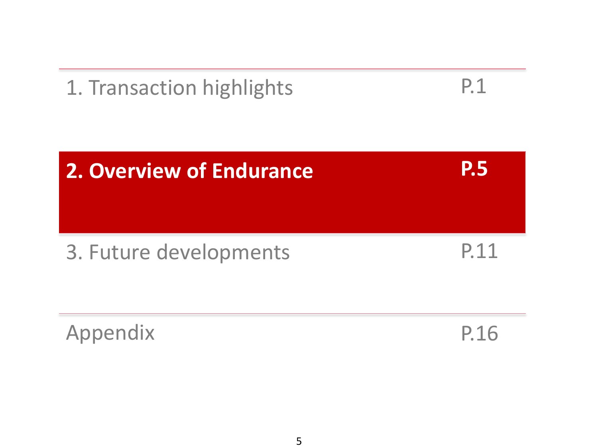

$$
\mathsf{P.1}
$$



Appendix

P.16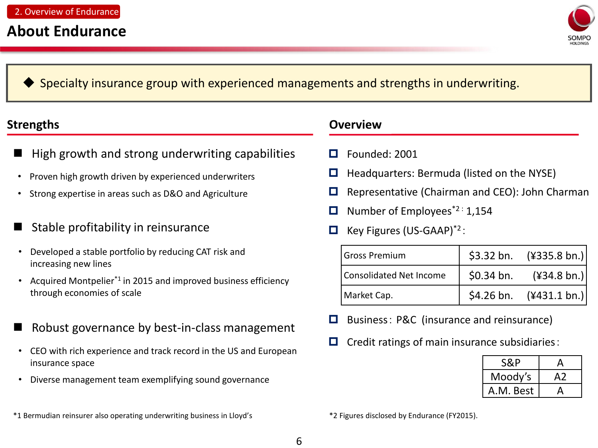

#### Specialty insurance group with experienced managements and strengths in underwriting.

- High growth and strong underwriting capabilities
- Proven high growth driven by experienced underwriters
- Strong expertise in areas such as D&O and Agriculture
- Stable profitability in reinsurance
- Developed a stable portfolio by reducing CAT risk and increasing new lines
- Acquired Montpelier\*1 in 2015 and improved business efficiency through economies of scale
- Robust governance by best-in-class management
- CEO with rich experience and track record in the US and European insurance space
- Diverse management team exemplifying sound governance
- \*1 Bermudian reinsurer also operating underwriting business in Lloyd's \*2 Figures disclosed by Endurance (FY2015).

#### **Strengths Overview**

- Founded: 2001
- $\Box$  Headquarters: Bermuda (listed on the NYSE)
- $\Box$  Representative (Chairman and CEO): John Charman
- Number of Employees\*2 : 1,154
- $\Box$  Key Figures (US-GAAP)<sup>\*2</sup>:

| Gross Premium           |             | \$3.32 bn. $(\frac{1}{2}335.8 \text{ bn.})$ |
|-------------------------|-------------|---------------------------------------------|
| Consolidated Net Income | $$0.34$ bn. | $(\frac{434.8 \text{ bn}}{\text{ b}})$      |
| Market Cap.             |             | \$4.26 bn. $(\frac{431.1 \text{ bn}}{1})$   |

- $\Box$  Business: P&C (insurance and reinsurance)
- $\Box$  Credit ratings of main insurance subsidiaries:

| S&P       | д   |
|-----------|-----|
| Moody's   | A 2 |
| A.M. Best |     |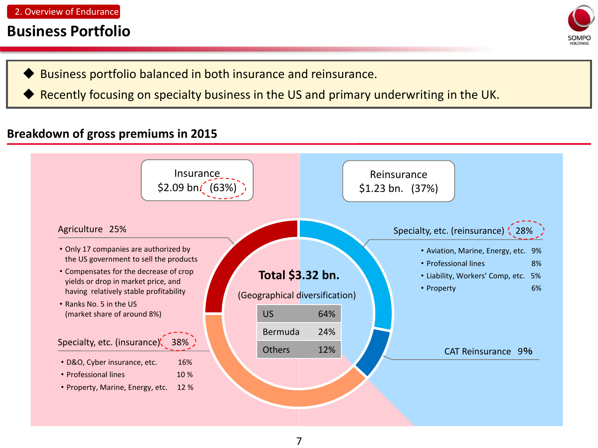### **Business Portfolio**



- Business portfolio balanced in both insurance and reinsurance.
- Recently focusing on specialty business in the US and primary underwriting in the UK.

#### **Breakdown of gross premiums in 2015**

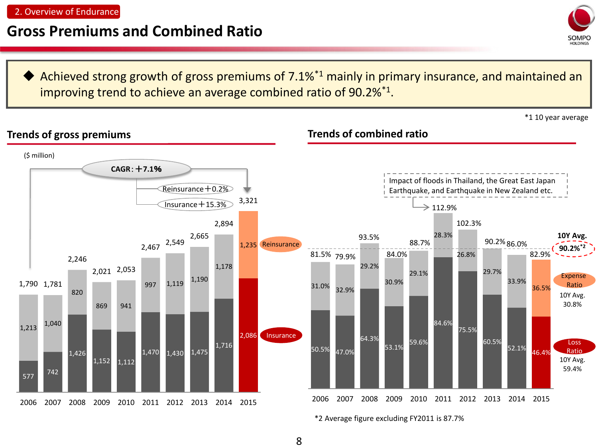### **Gross Premiums and Combined Ratio**

 Achieved strong growth of gross premiums of 7.1%\*1 mainly in primary insurance, and maintained an improving trend to achieve an average combined ratio of 90.2%<sup>\*1</sup>.

\*1 10 year average

Sompo



\*2 Average figure excluding FY2011 is 87.7%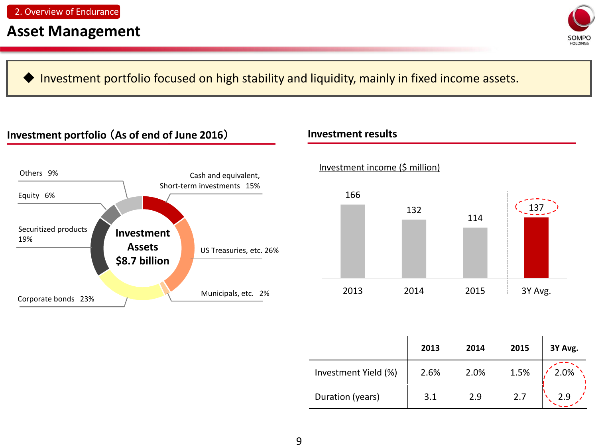

Investment portfolio focused on high stability and liquidity, mainly in fixed income assets.

#### **Investment portfolio** (**As of end of June 2016**) **Investment results**







|                      | 2013 | 2014 | 2015 | 3Y Avg. |
|----------------------|------|------|------|---------|
| Investment Yield (%) | 2.6% | 2.0% | 1.5% | 2.0%    |
| Duration (years)     | 3.1  | 2.9  | 2.7  |         |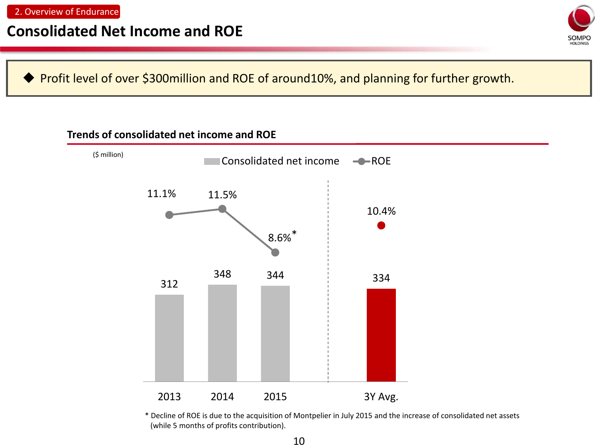### **Consolidated Net Income and ROE**



Profit level of over \$300million and ROE of around10%, and planning for further growth.

#### **Trends of consolidated net income and ROE**



\* Decline of ROE is due to the acquisition of Montpelier in July 2015 and the increase of consolidated net assets (while 5 months of profits contribution).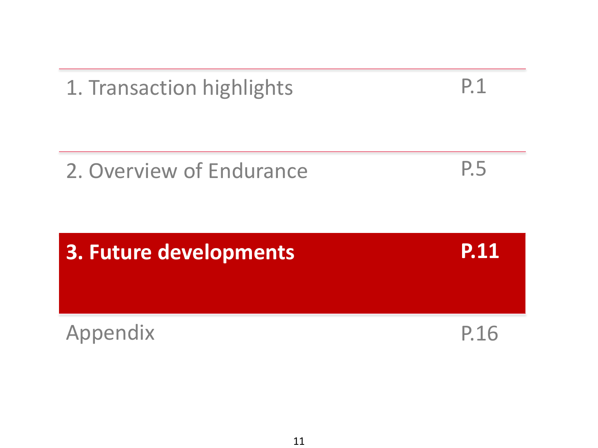

P.1

1. Transaction highlights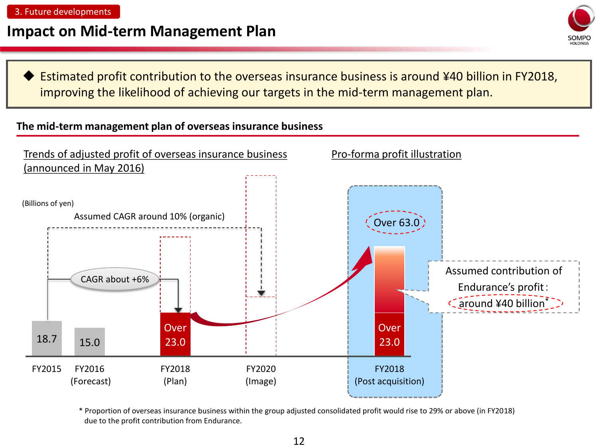### **Impact on Mid-term Management Plan**



 Estimated profit contribution to the overseas insurance business is around ¥40 billion in FY2018, improving the likelihood of achieving our targets in the mid-term management plan.

#### **The mid-term management plan of overseas insurance business**



\* Proportion of overseas insurance business within the group adjusted consolidated profit would rise to 29% or above (in FY2018) due to the profit contribution from Endurance.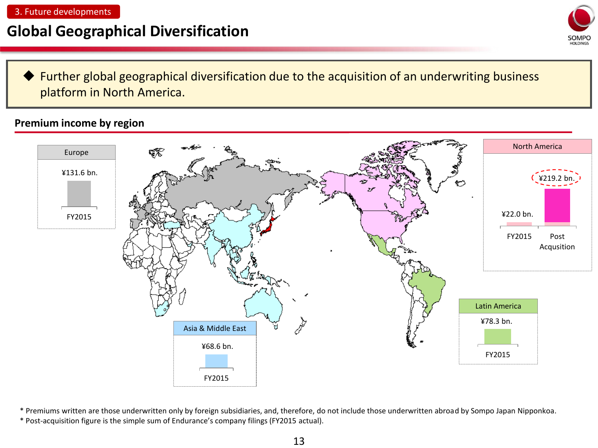## **Global Geographical Diversification**



 Further global geographical diversification due to the acquisition of an underwriting business platform in North America.

#### **Premium income by region**



\* Premiums written are those underwritten only by foreign subsidiaries, and, therefore, do not include those underwritten abroad by Sompo Japan Nipponkoa.

\* Post-acquisition figure is the simple sum of Endurance's company filings (FY2015 actual).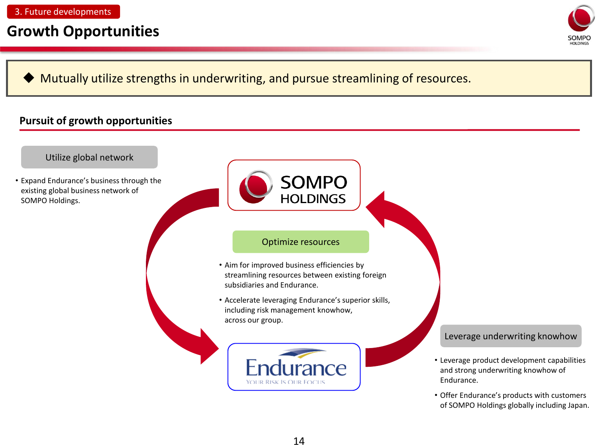### **Growth Opportunities**



Mutually utilize strengths in underwriting, and pursue streamlining of resources.

#### **Pursuit of growth opportunities**

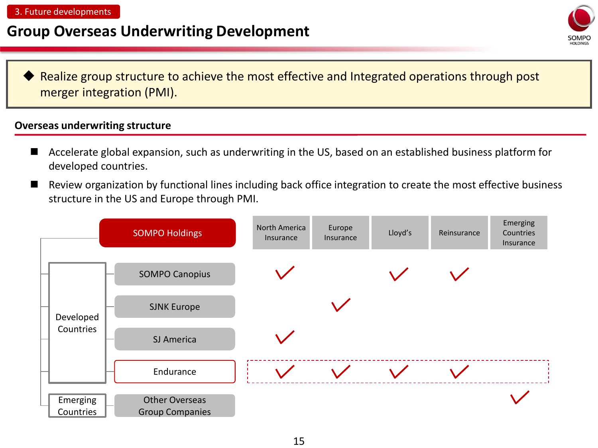### **Group Overseas Underwriting Development**



 Realize group structure to achieve the most effective and Integrated operations through post merger integration (PMI).

#### **Overseas underwriting structure**

- Accelerate global expansion, such as underwriting in the US, based on an established business platform for developed countries.
- Review organization by functional lines including back office integration to create the most effective business structure in the US and Europe through PMI.

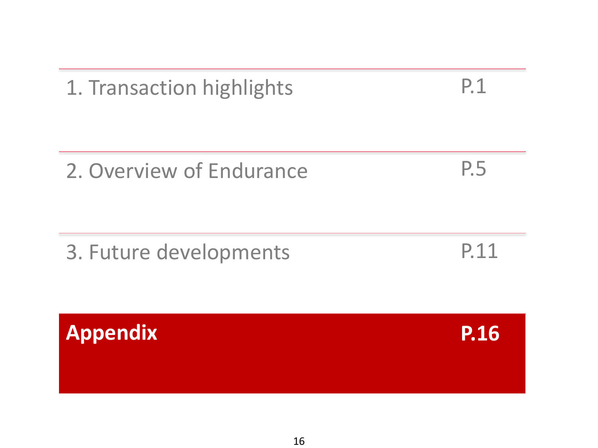| <b>Appendix</b>          | <b>P.16</b> |
|--------------------------|-------------|
| 3. Future developments   | P.11        |
| 2. Overview of Endurance | P.5         |
|                          |             |

1. Transaction highlights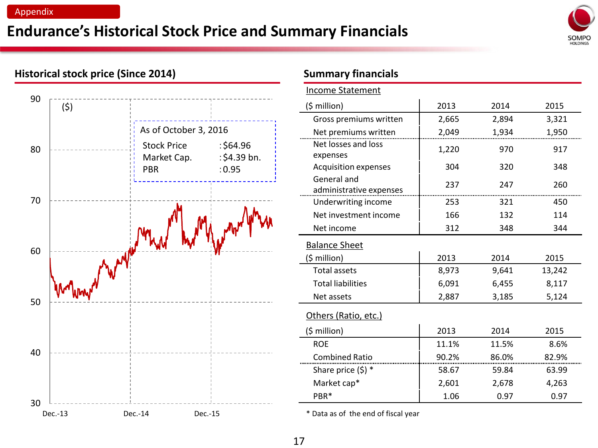#### Appendix

## **Endurance's Historical Stock Price and Summary Financials**



# $30$   $2 - -$ <br>Dec.-13 40 50 60 70 80 90 As of October 3, 2016 Stock Price : \$64.96 Market Cap. : \$4.39 bn. PBR :0.95 Dec.-14 Dec.-15 **Dec.-15** Nec.-15 **bec.-15** Nec.-15 **bec.-16** Nec.-15 Nec.-16

#### **Historical stock price (Since 2014) Summary financials**

|            |                                   |                           | <b>Income Statement</b>                |       |       |        |  |
|------------|-----------------------------------|---------------------------|----------------------------------------|-------|-------|--------|--|
| (\$)       |                                   |                           | $(5$ million)                          | 2013  | 2014  | 2015   |  |
|            |                                   |                           | Gross premiums written                 | 2,665 | 2,894 | 3,321  |  |
|            | As of October 3, 2016             |                           | Net premiums written                   | 2,049 | 1,934 | 1,950  |  |
|            | <b>Stock Price</b><br>Market Cap. | : \$64.96<br>: \$4.39 bn. | Net losses and loss<br>expenses        | 1,220 | 970   | 917    |  |
|            | <b>PBR</b>                        | : 0.95                    | <b>Acquisition expenses</b>            | 304   | 320   | 348    |  |
|            |                                   |                           | General and<br>administrative expenses | 237   | 247   | 260    |  |
|            |                                   |                           | Underwriting income                    | 253   | 321   | 450    |  |
|            |                                   |                           | Net investment income                  | 166   | 132   | 114    |  |
|            |                                   |                           | Net income                             | 312   | 348   | 344    |  |
| of writing |                                   |                           | <b>Balance Sheet</b>                   |       |       |        |  |
|            |                                   |                           | (\$ million)                           | 2013  | 2014  | 2015   |  |
|            |                                   |                           | <b>Total assets</b>                    | 8,973 | 9,641 | 13,242 |  |
|            |                                   |                           | <b>Total liabilities</b>               | 6,091 | 6,455 | 8,117  |  |
|            |                                   |                           | Net assets                             | 2,887 | 3,185 | 5,124  |  |
|            |                                   |                           | Others (Ratio, etc.)                   |       |       |        |  |
|            |                                   |                           | (\$ million)                           | 2013  | 2014  | 2015   |  |
|            |                                   |                           | <b>ROE</b>                             | 11.1% | 11.5% | 8.6%   |  |
|            |                                   |                           | <b>Combined Ratio</b>                  | 90.2% | 86.0% | 82.9%  |  |
|            |                                   |                           | Share price $(5)$ *                    | 58.67 | 59.84 | 63.99  |  |
|            |                                   |                           | Market cap*                            | 2,601 | 2,678 | 4,263  |  |
|            |                                   |                           | PBR*                                   | 1.06  | 0.97  | 0.97   |  |
|            |                                   |                           |                                        |       |       |        |  |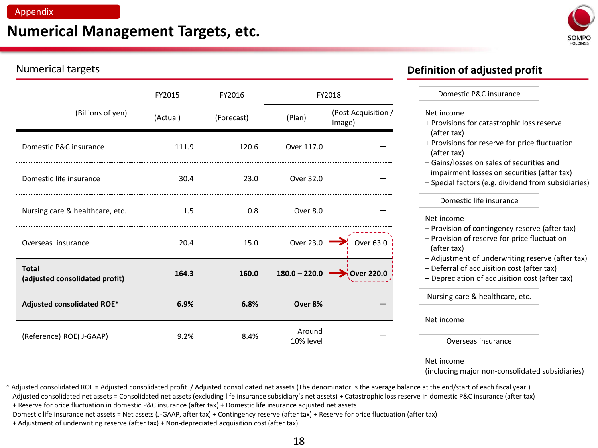### **Numerical Management Targets, etc.**



#### Numerical targets **Definition of adjusted profit**

|                                                | FY2015   | FY2016     | FY2018                  |                               | Domestic P&C insurance                                                                                                                           |
|------------------------------------------------|----------|------------|-------------------------|-------------------------------|--------------------------------------------------------------------------------------------------------------------------------------------------|
| (Billions of yen)                              | (Actual) | (Forecast) | (Plan)                  | (Post Acquisition /<br>Image) | Net income<br>+ Provisions for catastrophic loss reserve                                                                                         |
| Domestic P&C insurance                         | 111.9    | 120.6      | Over 117.0              |                               | (after tax)<br>+ Provisions for reserve for price fluctuation<br>(after tax)                                                                     |
| Domestic life insurance                        | 30.4     | 23.0       | Over 32.0               |                               | - Gains/losses on sales of securities and<br>impairment losses on securities (after tax)<br>- Special factors (e.g. dividend from subsidiaries)  |
|                                                |          | 0.8        | Over 8.0                |                               | Domestic life insurance                                                                                                                          |
| Nursing care & healthcare, etc.                | 1.5      |            |                         |                               | Net income                                                                                                                                       |
| Overseas insurance                             | 20.4     | 15.0       | Over 23.0 $\rightarrow$ | Over 63.0                     | + Provision of contingency reserve (after tax)<br>+ Provision of reserve for price fluctuation<br>(after tax)                                    |
| <b>Total</b><br>(adjusted consolidated profit) | 164.3    | 160.0      | $180.0 - 220.0$         | <b>Over 220.0</b>             | + Adjustment of underwriting reserve (after tax)<br>+ Deferral of acquisition cost (after tax)<br>- Depreciation of acquisition cost (after tax) |
| <b>Adjusted consolidated ROE*</b>              | 6.9%     | 6.8%       | Over 8%                 |                               | Nursing care & healthcare, etc.                                                                                                                  |
|                                                |          |            |                         |                               | Net income                                                                                                                                       |
| (Reference) ROE( J-GAAP)                       | 9.2%     | 8.4%       | Around<br>10% level     |                               | Overseas insurance                                                                                                                               |
|                                                |          |            |                         |                               | Net income                                                                                                                                       |

\* Adjusted consolidated ROE = Adjusted consolidated profit / Adjusted consolidated net assets (The denominator is the average balance at the end/start of each fiscal year.) (including major non-consolidated subsidiaries)

Adjusted consolidated net assets = Consolidated net assets (excluding life insurance subsidiary's net assets) + Catastrophic loss reserve in domestic P&C insurance (after tax)

+ Reserve for price fluctuation in domestic P&C insurance (after tax) + Domestic life insurance adjusted net assets

Domestic life insurance net assets = Net assets (J-GAAP, after tax) + Contingency reserve (after tax) + Reserve for price fluctuation (after tax)

+ Adjustment of underwriting reserve (after tax) + Non-depreciated acquisition cost (after tax)